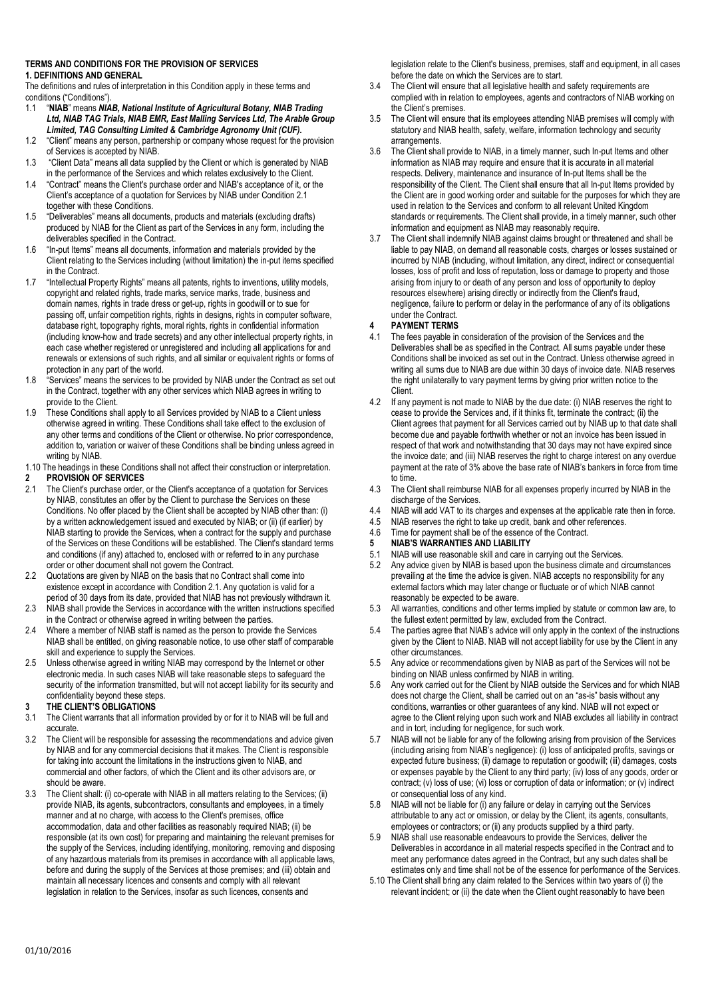#### **TERMS AND CONDITIONS FOR THE PROVISION OF SERVICES 1. DEFINITIONS AND GENERAL**

The definitions and rules of interpretation in this Condition apply in these terms and conditions ("Conditions").

- 1.1 "**NIAB**" means *NIAB, National Institute of Agricultural Botany, NIAB Trading*  Ltd, NIAB TAG Trials, NIAB EMR, East Malling Services Ltd, The Arable Group *Limited, TAG Consulting Limited & Cambridge Agronomy Unit (CUF).*
- 1.2 "Client" means any person, partnership or company whose request for the provision of Services is accepted by NIAB.
- 1.3 "Client Data" means all data supplied by the Client or which is generated by NIAB in the performance of the Services and which relates exclusively to the Client.
- 1.4 "Contract" means the Client's purchase order and NIAB's acceptance of it, or the Client's acceptance of a quotation for Services by NIAB under Condition 2.1 together with these Conditions.
- 1.5 "Deliverables" means all documents, products and materials (excluding drafts) produced by NIAB for the Client as part of the Services in any form, including the deliverables specified in the Contract.
- 1.6 "In-put Items" means all documents, information and materials provided by the Client relating to the Services including (without limitation) the in-put items specified in the Contract.
- 1.7 "Intellectual Property Rights" means all patents, rights to inventions, utility models, copyright and related rights, trade marks, service marks, trade, business and domain names, rights in trade dress or get-up, rights in goodwill or to sue for passing off, unfair competition rights, rights in designs, rights in computer software, database right, topography rights, moral rights, rights in confidential information (including know-how and trade secrets) and any other intellectual property rights, in each case whether registered or unregistered and including all applications for and renewals or extensions of such rights, and all similar or equivalent rights or forms of protection in any part of the world.
- 1.8 "Services" means the services to be provided by NIAB under the Contract as set out in the Contract, together with any other services which NIAB agrees in writing to provide to the Client.
- 1.9 These Conditions shall apply to all Services provided by NIAB to a Client unless otherwise agreed in writing. These Conditions shall take effect to the exclusion of any other terms and conditions of the Client or otherwise. No prior correspondence, addition to, variation or waiver of these Conditions shall be binding unless agreed in writing by NIAB.
- 1.10 The headings in these Conditions shall not affect their construction or interpretation. **2 PROVISION OF SERVICES**<br>2.1 The Client's purchase order
- The Client's purchase order, or the Client's acceptance of a quotation for Services by NIAB, constitutes an offer by the Client to purchase the Services on these Conditions. No offer placed by the Client shall be accepted by NIAB other than: (i) by a written acknowledgement issued and executed by NIAB; or (ii) (if earlier) by NIAB starting to provide the Services, when a contract for the supply and purchase of the Services on these Conditions will be established. The Client's standard terms and conditions (if any) attached to, enclosed with or referred to in any purchase order or other document shall not govern the Contract.
- 2.2 Quotations are given by NIAB on the basis that no Contract shall come into existence except in accordance with Condition 2.1. Any quotation is valid for a period of 30 days from its date, provided that NIAB has not previously withdrawn it.
- 2.3 NIAB shall provide the Services in accordance with the written instructions specified in the Contract or otherwise agreed in writing between the parties.
- 2.4 Where a member of NIAB staff is named as the person to provide the Services NIAB shall be entitled, on giving reasonable notice, to use other staff of comparable skill and experience to supply the Services.
- 2.5 Unless otherwise agreed in writing NIAB may correspond by the Internet or other electronic media. In such cases NIAB will take reasonable steps to safeguard the security of the information transmitted, but will not accept liability for its security and confidentiality beyond these steps.

# **3 THE CLIENT'S OBLIGATIONS**

- 3.1 The Client warrants that all information provided by or for it to NIAB will be full and accurate.
- 3.2 The Client will be responsible for assessing the recommendations and advice given by NIAB and for any commercial decisions that it makes. The Client is responsible for taking into account the limitations in the instructions given to NIAB, and commercial and other factors, of which the Client and its other advisors are, or should be aware.
- 3.3 The Client shall: (i) co-operate with NIAB in all matters relating to the Services; (ii) provide NIAB, its agents, subcontractors, consultants and employees, in a timely manner and at no charge, with access to the Client's premises, office accommodation, data and other facilities as reasonably required NIAB; (ii) be responsible (at its own cost) for preparing and maintaining the relevant premises for the supply of the Services, including identifying, monitoring, removing and disposing of any hazardous materials from its premises in accordance with all applicable laws, before and during the supply of the Services at those premises; and (iii) obtain and maintain all necessary licences and consents and comply with all relevant legislation in relation to the Services, insofar as such licences, consents and

legislation relate to the Client's business, premises, staff and equipment, in all cases before the date on which the Services are to start.

- 3.4 The Client will ensure that all legislative health and safety requirements are complied with in relation to employees, agents and contractors of NIAB working on the Client's premises.
- 3.5 The Client will ensure that its employees attending NIAB premises will comply with statutory and NIAB health, safety, welfare, information technology and security arrangements.
- 3.6 The Client shall provide to NIAB, in a timely manner, such In-put Items and other information as NIAB may require and ensure that it is accurate in all material respects. Delivery, maintenance and insurance of In-put Items shall be the responsibility of the Client. The Client shall ensure that all In-put Items provided by the Client are in good working order and suitable for the purposes for which they are used in relation to the Services and conform to all relevant United Kingdom standards or requirements. The Client shall provide, in a timely manner, such other information and equipment as NIAB may reasonably require.
- 3.7 The Client shall indemnify NIAB against claims brought or threatened and shall be liable to pay NIAB, on demand all reasonable costs, charges or losses sustained or incurred by NIAB (including, without limitation, any direct, indirect or consequential losses, loss of profit and loss of reputation, loss or damage to property and those arising from injury to or death of any person and loss of opportunity to deploy resources elsewhere) arising directly or indirectly from the Client's fraud, negligence, failure to perform or delay in the performance of any of its obligations under the Contract.

### **4 PAYMENT TERMS**

- 4.1 The fees payable in consideration of the provision of the Services and the Deliverables shall be as specified in the Contract. All sums payable under these Conditions shall be invoiced as set out in the Contract. Unless otherwise agreed in writing all sums due to NIAB are due within 30 days of invoice date. NIAB reserves the right unilaterally to vary payment terms by giving prior written notice to the Client.
- 4.2 If any payment is not made to NIAB by the due date: (i) NIAB reserves the right to cease to provide the Services and, if it thinks fit, terminate the contract; (ii) the Client agrees that payment for all Services carried out by NIAB up to that date shall become due and payable forthwith whether or not an invoice has been issued in respect of that work and notwithstanding that 30 days may not have expired since the invoice date; and (iii) NIAB reserves the right to charge interest on any overdue payment at the rate of 3% above the base rate of NIAB's bankers in force from time to time.
- 4.3 The Client shall reimburse NIAB for all expenses properly incurred by NIAB in the discharge of the Services.
- 4.4 NIAB will add VAT to its charges and expenses at the applicable rate then in force.
- 4.5 NIAB reserves the right to take up credit, bank and other references.
- 4.6 Time for payment shall be of the essence of the Contract.<br>5 NIAR'S WARRANTIFS AND LIARILITY
- **5 NIAB'S WARRANTIES AND LIABILITY**
- 5.1 NIAB will use reasonable skill and care in carrying out the Services.
- 5.2 Any advice given by NIAB is based upon the business climate and circumstances prevailing at the time the advice is given. NIAB accepts no responsibility for any external factors which may later change or fluctuate or of which NIAB cannot reasonably be expected to be aware.
- 5.3 All warranties, conditions and other terms implied by statute or common law are, to the fullest extent permitted by law, excluded from the Contract.
- 5.4 The parties agree that NIAB's advice will only apply in the context of the instructions given by the Client to NIAB. NIAB will not accept liability for use by the Client in any other circumstances.
- 5.5 Any advice or recommendations given by NIAB as part of the Services will not be binding on NIAB unless confirmed by NIAB in writing.
- 5.6 Any work carried out for the Client by NIAB outside the Services and for which NIAB does not charge the Client, shall be carried out on an "as-is" basis without any conditions, warranties or other guarantees of any kind. NIAB will not expect or agree to the Client relying upon such work and NIAB excludes all liability in contract and in tort, including for negligence, for such work.
- 5.7 NIAB will not be liable for any of the following arising from provision of the Services (including arising from NIAB's negligence): (i) loss of anticipated profits, savings or expected future business; (ii) damage to reputation or goodwill; (iii) damages, costs or expenses payable by the Client to any third party; (iv) loss of any goods, order or contract; (v) loss of use; (vi) loss or corruption of data or information; or (v) indirect or consequential loss of any kind.
- 5.8 NIAB will not be liable for (i) any failure or delay in carrying out the Services attributable to any act or omission, or delay by the Client, its agents, consultants, employees or contractors; or (ii) any products supplied by a third party.
- 5.9 NIAB shall use reasonable endeavours to provide the Services, deliver the Deliverables in accordance in all material respects specified in the Contract and to meet any performance dates agreed in the Contract, but any such dates shall be estimates only and time shall not be of the essence for performance of the Services.
- 5.10 The Client shall bring any claim related to the Services within two years of (i) the relevant incident; or (ii) the date when the Client ought reasonably to have been